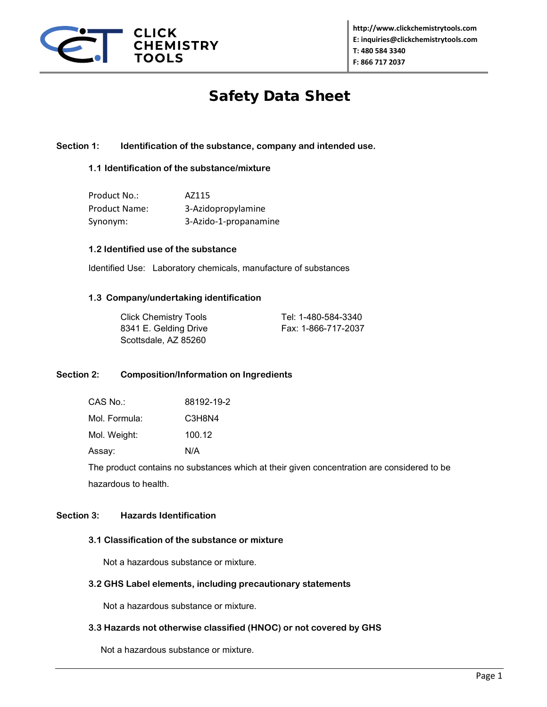

# Safety Data Sheet

# **Section 1: Identification of the substance, company and intended use.**

# **1.1 Identification of the substance/mixture**

| Product No.:         | AZ115                 |
|----------------------|-----------------------|
| <b>Product Name:</b> | 3-Azidopropylamine    |
| Synonym:             | 3-Azido-1-propanamine |

## **1.2 Identified use of the substance**

Identified Use: Laboratory chemicals, manufacture of substances

#### **1.3 Company/undertaking identification**

| <b>Click Chemistry Tools</b> | Tel: 1-480-584-3340 |
|------------------------------|---------------------|
| 8341 E. Gelding Drive        | Fax: 1-866-717-2037 |
| Scottsdale, AZ 85260         |                     |

# **Section 2: Composition/Information on Ingredients**

| CAS No.:      | 88192-19-2 |
|---------------|------------|
| Mol. Formula: | C3H8N4     |

Mol. Weight: 100.12

Assay: N/A

The product contains no substances which at their given concentration are considered to be hazardous to health.

# **Section 3: Hazards Identification**

# **3.1 Classification of the substance or mixture**

Not a hazardous substance or mixture.

#### **3.2 GHS Label elements, including precautionary statements**

Not a hazardous substance or mixture.

# **3.3 Hazards not otherwise classified (HNOC) or not covered by GHS**

Not a hazardous substance or mixture.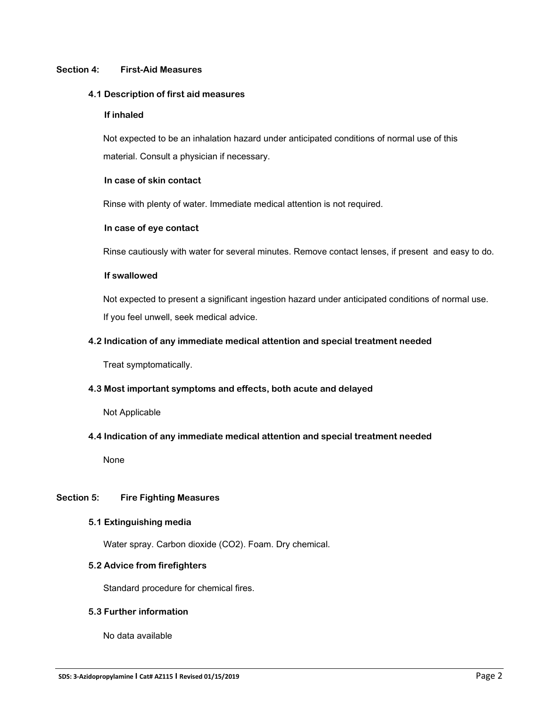## **Section 4: First-Aid Measures**

#### **4.1 Description of first aid measures**

#### **If inhaled**

 Not expected to be an inhalation hazard under anticipated conditions of normal use of this material. Consult a physician if necessary.

## **In case of skin contact**

Rinse with plenty of water. Immediate medical attention is not required.

## **In case of eye contact**

Rinse cautiously with water for several minutes. Remove contact lenses, if present and easy to do.

## **If swallowed**

 Not expected to present a significant ingestion hazard under anticipated conditions of normal use. If you feel unwell, seek medical advice.

# **4.2 Indication of any immediate medical attention and special treatment needed**

Treat symptomatically.

# **4.3 Most important symptoms and effects, both acute and delayed**

Not Applicable

# **4.4 Indication of any immediate medical attention and special treatment needed**

None

# **Section 5: Fire Fighting Measures**

#### **5.1 Extinguishing media**

Water spray. Carbon dioxide (CO2). Foam. Dry chemical.

# **5.2 Advice from firefighters**

Standard procedure for chemical fires.

# **5.3 Further information**

No data available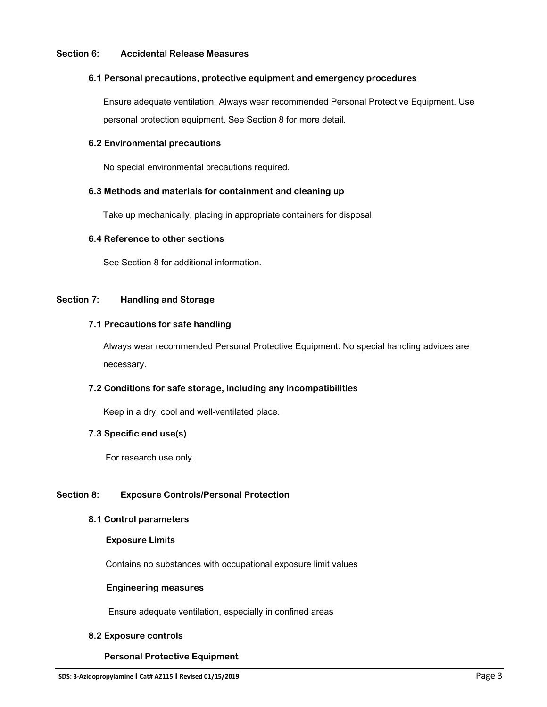#### **Section 6: Accidental Release Measures**

#### **6.1 Personal precautions, protective equipment and emergency procedures**

 Ensure adequate ventilation. Always wear recommended Personal Protective Equipment. Use personal protection equipment. See Section 8 for more detail.

## **6.2 Environmental precautions**

No special environmental precautions required.

## **6.3 Methods and materials for containment and cleaning up**

Take up mechanically, placing in appropriate containers for disposal.

#### **6.4 Reference to other sections**

See Section 8 for additional information.

# **Section 7: Handling and Storage**

## **7.1 Precautions for safe handling**

 Always wear recommended Personal Protective Equipment. No special handling advices are necessary.

# **7.2 Conditions for safe storage, including any incompatibilities**

Keep in a dry, cool and well-ventilated place.

#### **7.3 Specific end use(s)**

For research use only.

# **Section 8: Exposure Controls/Personal Protection**

#### **8.1 Control parameters**

#### **Exposure Limits**

Contains no substances with occupational exposure limit values

#### **Engineering measures**

Ensure adequate ventilation, especially in confined areas

#### **8.2 Exposure controls**

# **Personal Protective Equipment**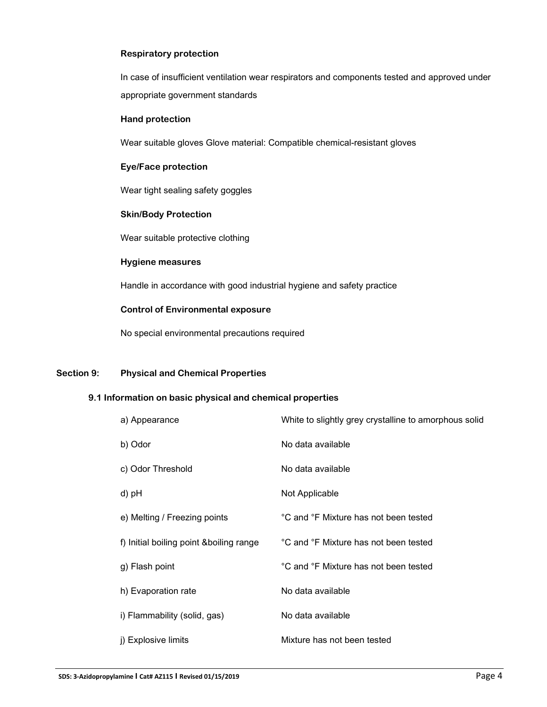# **Respiratory protection**

 In case of insufficient ventilation wear respirators and components tested and approved under appropriate government standards

#### **Hand protection**

Wear suitable gloves Glove material: Compatible chemical-resistant gloves

# **Eye/Face protection**

Wear tight sealing safety goggles

#### **Skin/Body Protection**

Wear suitable protective clothing

#### **Hygiene measures**

Handle in accordance with good industrial hygiene and safety practice

# **Control of Environmental exposure**

No special environmental precautions required

# **Section 9: Physical and Chemical Properties**

# **9.1 Information on basic physical and chemical properties**

| a) Appearance                            | White to slightly grey crystalline to amorphous solid |
|------------------------------------------|-------------------------------------------------------|
| b) Odor                                  | No data available                                     |
| c) Odor Threshold                        | No data available                                     |
| d) pH                                    | Not Applicable                                        |
| e) Melting / Freezing points             | °C and °F Mixture has not been tested                 |
| f) Initial boiling point & boiling range | °C and °F Mixture has not been tested                 |
| g) Flash point                           | °C and °F Mixture has not been tested                 |
| h) Evaporation rate                      | No data available                                     |
| i) Flammability (solid, gas)             | No data available                                     |
| j) Explosive limits                      | Mixture has not been tested                           |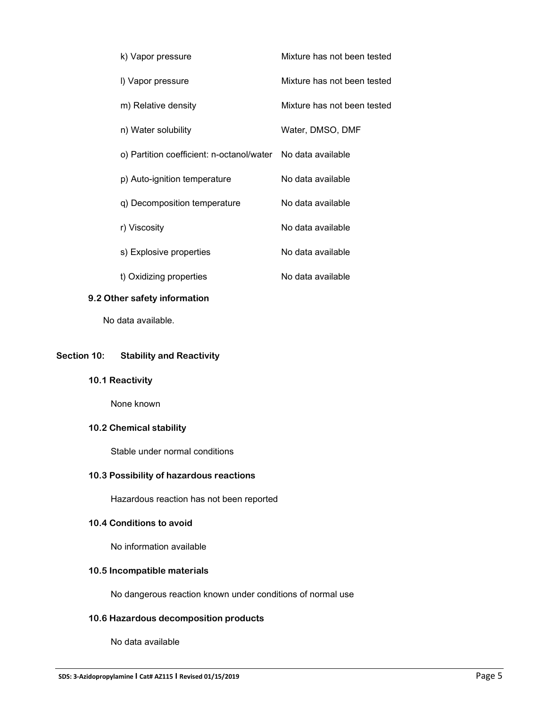| k) Vapor pressure                                           | Mixture has not been tested |
|-------------------------------------------------------------|-----------------------------|
| I) Vapor pressure                                           | Mixture has not been tested |
| m) Relative density                                         | Mixture has not been tested |
| n) Water solubility                                         | Water, DMSO, DMF            |
| o) Partition coefficient: n-octanol/water No data available |                             |
| p) Auto-ignition temperature                                | No data available           |
| q) Decomposition temperature                                | No data available           |
| r) Viscosity                                                | No data available           |
| s) Explosive properties                                     | No data available           |
| t) Oxidizing properties                                     | No data available           |

# **9.2 Other safety information**

No data available.

## **Section 10: Stability and Reactivity**

**10.1 Reactivity**

None known

# **10.2 Chemical stability**

Stable under normal conditions

# **10.3 Possibility of hazardous reactions**

Hazardous reaction has not been reported

# **10.4 Conditions to avoid**

No information available

# **10.5 Incompatible materials**

No dangerous reaction known under conditions of normal use

# **10.6 Hazardous decomposition products**

No data available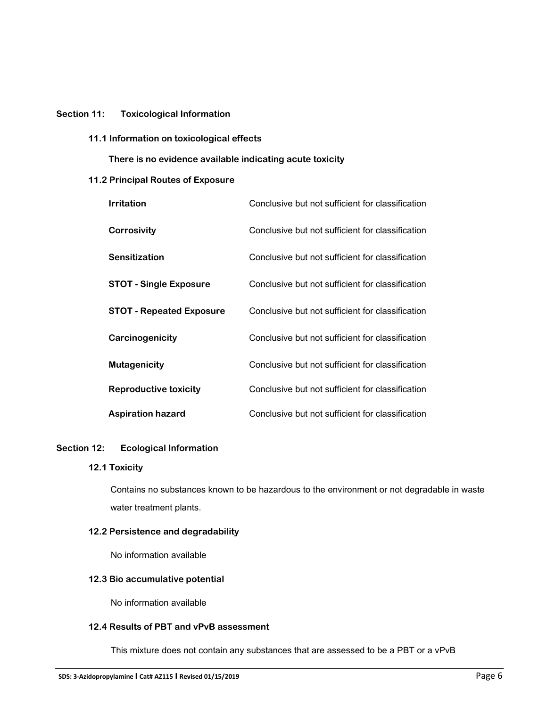## **Section 11: Toxicological Information**

**11.1 Information on toxicological effects**

 **There is no evidence available indicating acute toxicity**

## **11.2 Principal Routes of Exposure**

| <b>Irritation</b>               | Conclusive but not sufficient for classification |
|---------------------------------|--------------------------------------------------|
| <b>Corrosivity</b>              | Conclusive but not sufficient for classification |
| <b>Sensitization</b>            | Conclusive but not sufficient for classification |
| <b>STOT - Single Exposure</b>   | Conclusive but not sufficient for classification |
| <b>STOT - Repeated Exposure</b> | Conclusive but not sufficient for classification |
| Carcinogenicity                 | Conclusive but not sufficient for classification |
| <b>Mutagenicity</b>             | Conclusive but not sufficient for classification |
| <b>Reproductive toxicity</b>    | Conclusive but not sufficient for classification |
| <b>Aspiration hazard</b>        | Conclusive but not sufficient for classification |

#### **Section 12: Ecological Information**

#### **12.1 Toxicity**

Contains no substances known to be hazardous to the environment or not degradable in waste water treatment plants.

# **12.2 Persistence and degradability**

No information available

# **12.3 Bio accumulative potential**

No information available

# **12.4 Results of PBT and vPvB assessment**

This mixture does not contain any substances that are assessed to be a PBT or a vPvB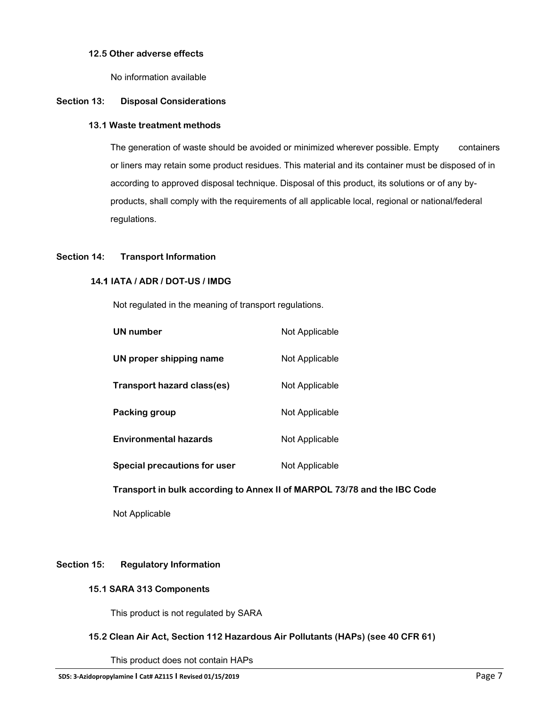# **12.5 Other adverse effects**

No information available

## **Section 13: Disposal Considerations**

#### **13.1 Waste treatment methods**

The generation of waste should be avoided or minimized wherever possible. Empty containers or liners may retain some product residues. This material and its container must be disposed of in according to approved disposal technique. Disposal of this product, its solutions or of any byproducts, shall comply with the requirements of all applicable local, regional or national/federal regulations.

# **Section 14: Transport Information**

## **14.1 IATA / ADR / DOT-US / IMDG**

Not regulated in the meaning of transport regulations.

| Not Applicable |
|----------------|
| Not Applicable |
| Not Applicable |
| Not Applicable |
| Not Applicable |
| Not Applicable |
|                |

 **Transport in bulk according to Annex II of MARPOL 73/78 and the IBC Code**

Not Applicable

# **Section 15: Regulatory Information**

#### **15.1 SARA 313 Components**

This product is not regulated by SARA

# **15.2 Clean Air Act, Section 112 Hazardous Air Pollutants (HAPs) (see 40 CFR 61)**

This product does not contain HAPs